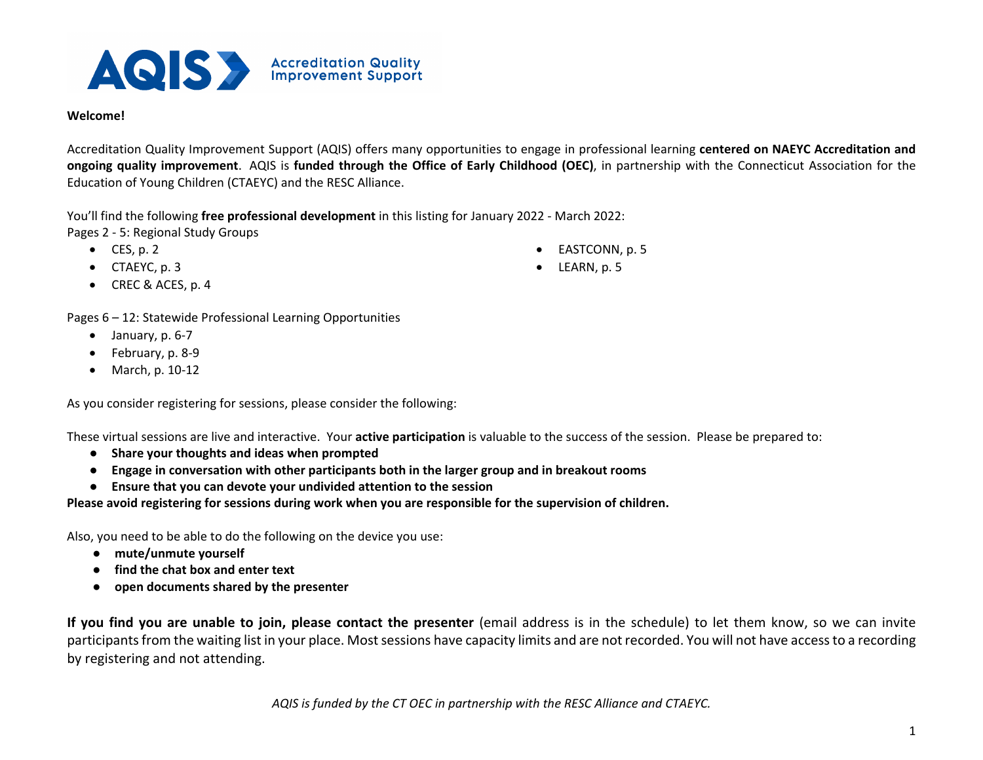

## **Welcome!**

Accreditation Quality Improvement Support (AQIS) offers many opportunities to engage in professional learning **centered on NAEYC Accreditation and ongoing quality improvement**. AQIS is **funded through the Office of Early Childhood (OEC)**, in partnership with the Connecticut Association for the Education of Young Children (CTAEYC) and the RESC Alliance.

You'll find the following **free professional development** in this listing for January 2022 - March 2022: Pages 2 - 5: Regional Study Groups

- $\bullet$  CES, p. 2
- CTAEYC, p. 3
- CREC & ACES, p. 4

Pages 6 – 12: Statewide Professional Learning Opportunities

- $\bullet$  January, p. 6-7
- February, p. 8-9
- March, p. 10-12

As you consider registering for sessions, please consider the following:

These virtual sessions are live and interactive. Your **active participation** is valuable to the success of the session. Please be prepared to:

- **Share your thoughts and ideas when prompted**
- **Engage in conversation with other participants both in the larger group and in breakout rooms**
- **Ensure that you can devote your undivided attention to the session**

**Please avoid registering for sessions during work when you are responsible for the supervision of children.**

Also, you need to be able to do the following on the device you use:

- **mute/unmute yourself**
- **find the chat box and enter text**
- **open documents shared by the presenter**

**If you find you are unable to join, please contact the presenter** (email address is in the schedule) to let them know, so we can invite participants from the waiting list in your place. Most sessions have capacity limits and are not recorded. You will not have access to a recording by registering and not attending.

- **EASTCONN**, p. 5
- LEARN, p. 5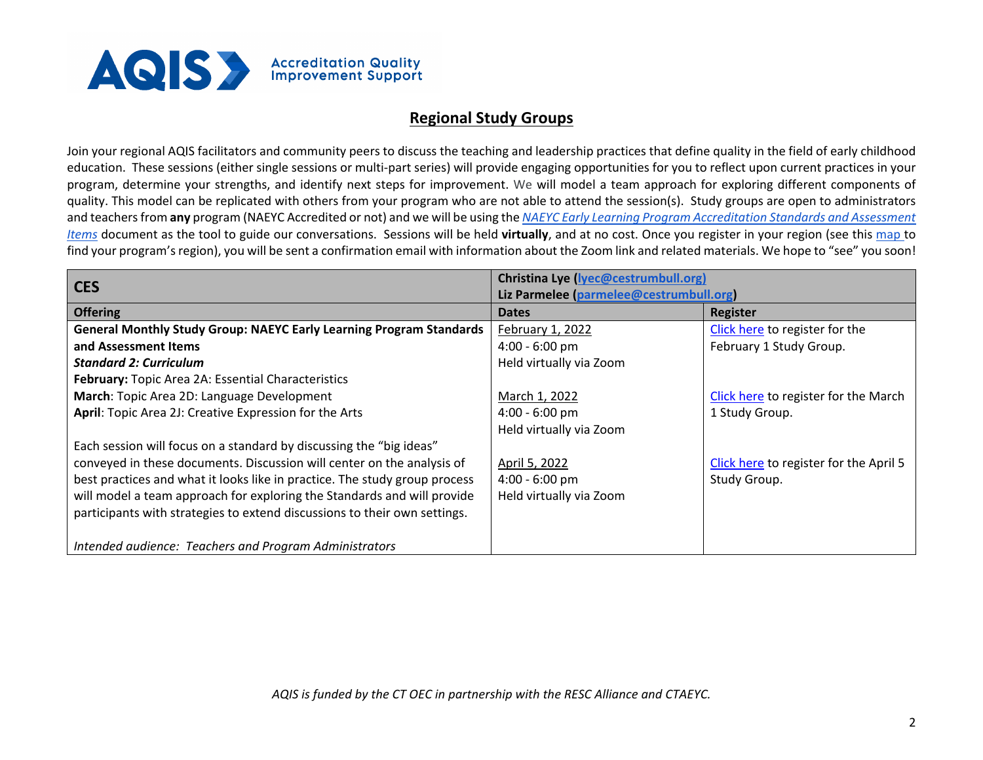

## **Regional Study Groups**

Join your regional AQIS facilitators and community peers to discuss the teaching and leadership practices that define quality in the field of early childhood education. These sessions (either single sessions or multi-part series) will provide engaging opportunities for you to reflect upon current practices in your program, determine your strengths, and identify next steps for improvement. We will model a team approach for exploring different components of quality. This model can be replicated with others from your program who are not able to attend the session(s). Study groups are open to administrators and teachers from **any** program (NAEYC Accredited or not) and we will be using the *[NAEYC Early Learning Program Accreditation Standards and Assessment](https://www.naeyc.org/sites/default/files/globally-shared/downloads/PDFs/accreditation/early-learning/standards_assessment_2019.pdf)  [Items](https://www.naeyc.org/sites/default/files/globally-shared/downloads/PDFs/accreditation/early-learning/standards_assessment_2019.pdf)* document as the tool to guide our conversations. Sessions will be held **virtually**, and at no cost. Once you register in your region (see this [map t](https://www.ctoec.org/program-and-improvement-supports/aqis/#map)o find your program's region), you will be sent a confirmation email with information about the Zoom link and related materials. We hope to "see" you soon!

| <b>CES</b>                                                                 | Christina Lye (lyec@cestrumbull.org)    |                                        |  |
|----------------------------------------------------------------------------|-----------------------------------------|----------------------------------------|--|
|                                                                            | Liz Parmelee (parmelee@cestrumbull.org) |                                        |  |
| <b>Offering</b>                                                            | <b>Dates</b>                            | Register                               |  |
| <b>General Monthly Study Group: NAEYC Early Learning Program Standards</b> | February 1, 2022                        | Click here to register for the         |  |
| and Assessment Items                                                       | $4:00 - 6:00$ pm                        | February 1 Study Group.                |  |
| <b>Standard 2: Curriculum</b>                                              | Held virtually via Zoom                 |                                        |  |
| February: Topic Area 2A: Essential Characteristics                         |                                         |                                        |  |
| March: Topic Area 2D: Language Development                                 | March 1, 2022                           | Click here to register for the March   |  |
| April: Topic Area 2J: Creative Expression for the Arts                     | $4:00 - 6:00$ pm                        | 1 Study Group.                         |  |
|                                                                            | Held virtually via Zoom                 |                                        |  |
| Each session will focus on a standard by discussing the "big ideas"        |                                         |                                        |  |
| conveyed in these documents. Discussion will center on the analysis of     | April 5, 2022                           | Click here to register for the April 5 |  |
| best practices and what it looks like in practice. The study group process | $4:00 - 6:00$ pm                        | Study Group.                           |  |
| will model a team approach for exploring the Standards and will provide    | Held virtually via Zoom                 |                                        |  |
| participants with strategies to extend discussions to their own settings.  |                                         |                                        |  |
|                                                                            |                                         |                                        |  |
| Intended audience: Teachers and Program Administrators                     |                                         |                                        |  |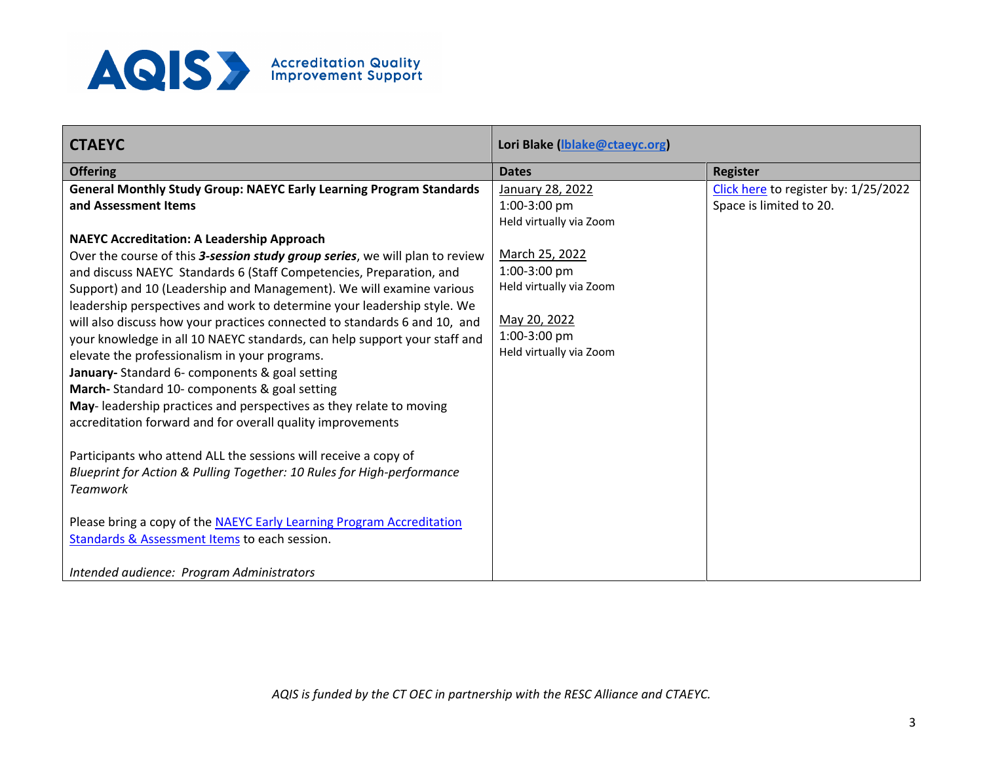

| <b>CTAEYC</b>                                                                             | Lori Blake (Iblake@ctaeyc.org)          |                                      |
|-------------------------------------------------------------------------------------------|-----------------------------------------|--------------------------------------|
| <b>Offering</b>                                                                           | <b>Dates</b>                            | <b>Register</b>                      |
| <b>General Monthly Study Group: NAEYC Early Learning Program Standards</b>                | January 28, 2022                        | Click here to register by: 1/25/2022 |
| and Assessment Items                                                                      | 1:00-3:00 pm                            | Space is limited to 20.              |
|                                                                                           | Held virtually via Zoom                 |                                      |
| <b>NAEYC Accreditation: A Leadership Approach</b>                                         |                                         |                                      |
| Over the course of this 3-session study group series, we will plan to review              | March 25, 2022                          |                                      |
| and discuss NAEYC Standards 6 (Staff Competencies, Preparation, and                       | 1:00-3:00 pm                            |                                      |
| Support) and 10 (Leadership and Management). We will examine various                      | Held virtually via Zoom                 |                                      |
| leadership perspectives and work to determine your leadership style. We                   |                                         |                                      |
| will also discuss how your practices connected to standards 6 and 10, and                 | May 20, 2022                            |                                      |
| your knowledge in all 10 NAEYC standards, can help support your staff and                 | 1:00-3:00 pm<br>Held virtually via Zoom |                                      |
| elevate the professionalism in your programs.                                             |                                         |                                      |
| January- Standard 6- components & goal setting                                            |                                         |                                      |
| March-Standard 10- components & goal setting                                              |                                         |                                      |
| May-leadership practices and perspectives as they relate to moving                        |                                         |                                      |
| accreditation forward and for overall quality improvements                                |                                         |                                      |
|                                                                                           |                                         |                                      |
| Participants who attend ALL the sessions will receive a copy of                           |                                         |                                      |
| Blueprint for Action & Pulling Together: 10 Rules for High-performance<br><b>Teamwork</b> |                                         |                                      |
|                                                                                           |                                         |                                      |
| Please bring a copy of the NAEYC Early Learning Program Accreditation                     |                                         |                                      |
| Standards & Assessment Items to each session.                                             |                                         |                                      |
|                                                                                           |                                         |                                      |
| Intended audience: Program Administrators                                                 |                                         |                                      |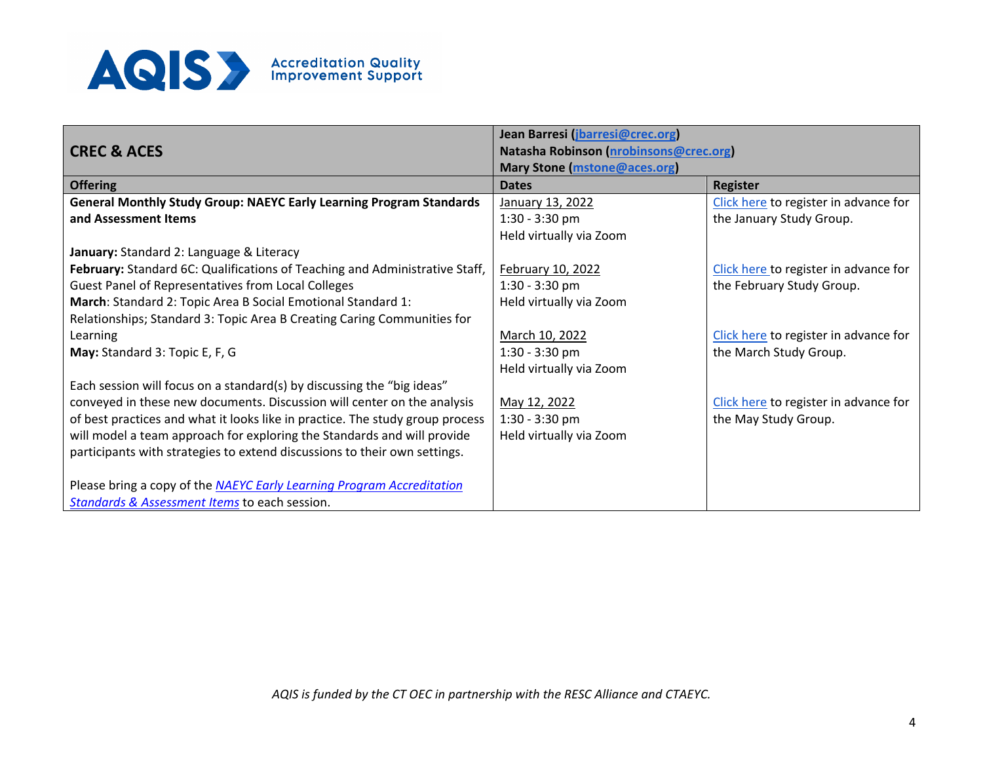

|                                                                               | Jean Barresi (jbarresi@crec.org)       |                                       |
|-------------------------------------------------------------------------------|----------------------------------------|---------------------------------------|
| <b>CREC &amp; ACES</b>                                                        | Natasha Robinson (nrobinsons@crec.org) |                                       |
|                                                                               | <b>Mary Stone (mstone@aces.org)</b>    |                                       |
| <b>Offering</b>                                                               | <b>Dates</b>                           | <b>Register</b>                       |
| <b>General Monthly Study Group: NAEYC Early Learning Program Standards</b>    | January 13, 2022                       | Click here to register in advance for |
| and Assessment Items                                                          | $1:30 - 3:30$ pm                       | the January Study Group.              |
|                                                                               | Held virtually via Zoom                |                                       |
| January: Standard 2: Language & Literacy                                      |                                        |                                       |
| February: Standard 6C: Qualifications of Teaching and Administrative Staff,   | February 10, 2022                      | Click here to register in advance for |
| Guest Panel of Representatives from Local Colleges                            | $1:30 - 3:30$ pm                       | the February Study Group.             |
| March: Standard 2: Topic Area B Social Emotional Standard 1:                  | Held virtually via Zoom                |                                       |
| Relationships; Standard 3: Topic Area B Creating Caring Communities for       |                                        |                                       |
| Learning                                                                      | March 10, 2022                         | Click here to register in advance for |
| May: Standard 3: Topic E, F, G                                                | 1:30 - 3:30 pm                         | the March Study Group.                |
|                                                                               | Held virtually via Zoom                |                                       |
| Each session will focus on a standard(s) by discussing the "big ideas"        |                                        |                                       |
| conveyed in these new documents. Discussion will center on the analysis       | May 12, 2022                           | Click here to register in advance for |
| of best practices and what it looks like in practice. The study group process | 1:30 - 3:30 pm                         | the May Study Group.                  |
| will model a team approach for exploring the Standards and will provide       | Held virtually via Zoom                |                                       |
| participants with strategies to extend discussions to their own settings.     |                                        |                                       |
|                                                                               |                                        |                                       |
| Please bring a copy of the NAEYC Early Learning Program Accreditation         |                                        |                                       |
| Standards & Assessment Items to each session.                                 |                                        |                                       |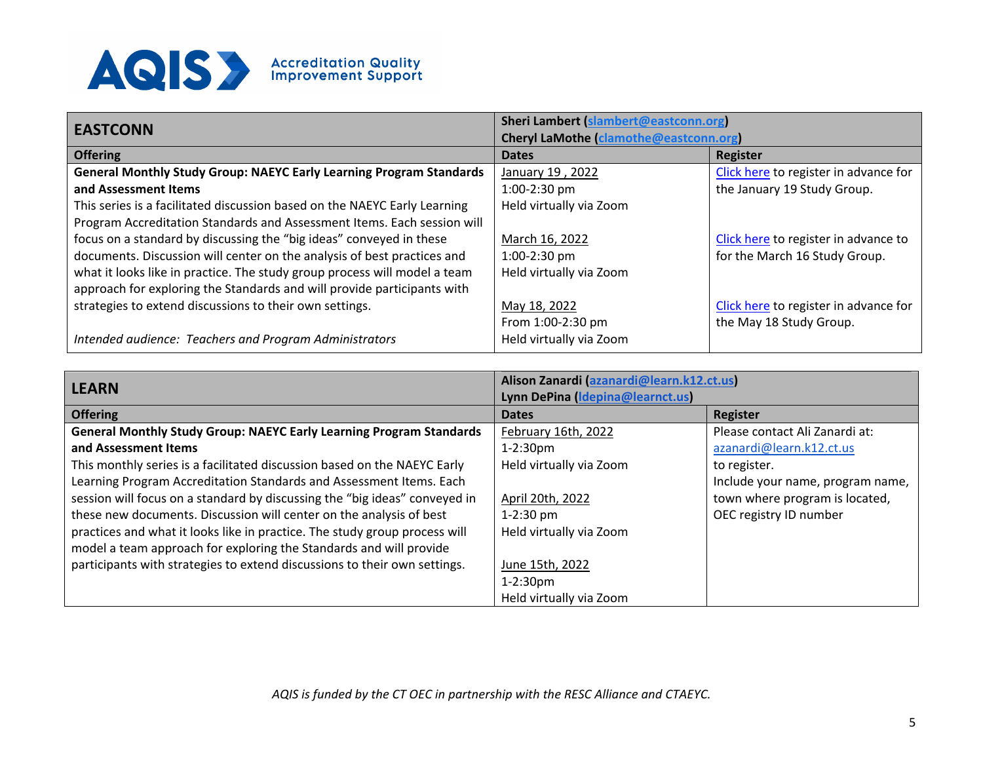

| <b>EASTCONN</b>                                                            | Sheri Lambert (slambert@eastconn.org)         |                                       |  |
|----------------------------------------------------------------------------|-----------------------------------------------|---------------------------------------|--|
|                                                                            | <b>Cheryl LaMothe (clamothe@eastconn.org)</b> |                                       |  |
| <b>Offering</b>                                                            | <b>Dates</b>                                  | <b>Register</b>                       |  |
| <b>General Monthly Study Group: NAEYC Early Learning Program Standards</b> | January 19, 2022                              | Click here to register in advance for |  |
| and Assessment Items                                                       | $1:00-2:30$ pm                                | the January 19 Study Group.           |  |
| This series is a facilitated discussion based on the NAEYC Early Learning  | Held virtually via Zoom                       |                                       |  |
| Program Accreditation Standards and Assessment Items. Each session will    |                                               |                                       |  |
| focus on a standard by discussing the "big ideas" conveyed in these        | March 16, 2022                                | Click here to register in advance to  |  |
| documents. Discussion will center on the analysis of best practices and    | $1:00-2:30$ pm                                | for the March 16 Study Group.         |  |
| what it looks like in practice. The study group process will model a team  | Held virtually via Zoom                       |                                       |  |
| approach for exploring the Standards and will provide participants with    |                                               |                                       |  |
| strategies to extend discussions to their own settings.                    | May 18, 2022                                  | Click here to register in advance for |  |
|                                                                            | From 1:00-2:30 pm                             | the May 18 Study Group.               |  |
| Intended audience: Teachers and Program Administrators                     | Held virtually via Zoom                       |                                       |  |

| <b>LEARN</b>                                                               | Alison Zanardi (azanardi@learn.k12.ct.us)<br>Lynn DePina (Idepina@learnct.us) |                                  |
|----------------------------------------------------------------------------|-------------------------------------------------------------------------------|----------------------------------|
| <b>Offering</b>                                                            | <b>Dates</b>                                                                  | <b>Register</b>                  |
| <b>General Monthly Study Group: NAEYC Early Learning Program Standards</b> | February 16th, 2022                                                           | Please contact Ali Zanardi at:   |
| and Assessment Items                                                       | $1-2:30$ pm                                                                   | azanardi@learn.k12.ct.us         |
| This monthly series is a facilitated discussion based on the NAEYC Early   | Held virtually via Zoom                                                       | to register.                     |
| Learning Program Accreditation Standards and Assessment Items. Each        |                                                                               | Include your name, program name, |
| session will focus on a standard by discussing the "big ideas" conveyed in | April 20th, 2022                                                              | town where program is located,   |
| these new documents. Discussion will center on the analysis of best        | $1-2:30$ pm                                                                   | OEC registry ID number           |
| practices and what it looks like in practice. The study group process will | Held virtually via Zoom                                                       |                                  |
| model a team approach for exploring the Standards and will provide         |                                                                               |                                  |
| participants with strategies to extend discussions to their own settings.  | June 15th, 2022                                                               |                                  |
|                                                                            | $1-2:30pm$                                                                    |                                  |
|                                                                            | Held virtually via Zoom                                                       |                                  |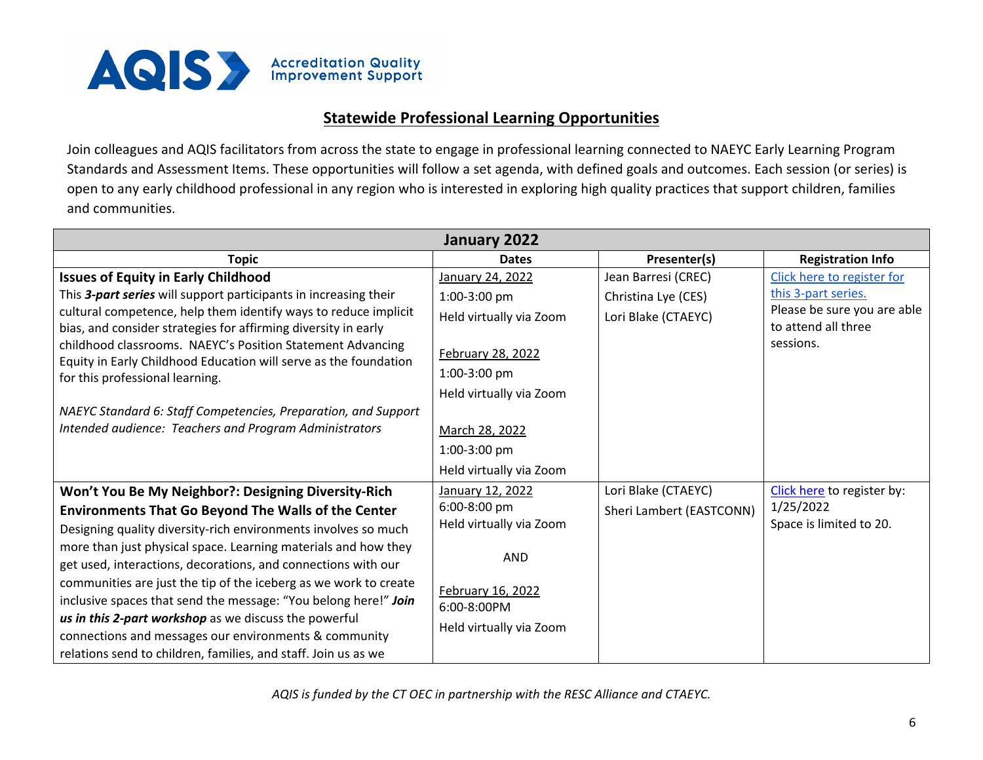

## **Statewide Professional Learning Opportunities**

Join colleagues and AQIS facilitators from across the state to engage in professional learning connected to NAEYC Early Learning Program Standards and Assessment Items. These opportunities will follow a set agenda, with defined goals and outcomes. Each session (or series) is open to any early childhood professional in any region who is interested in exploring high quality practices that support children, families and communities.

| January 2022                                                                                                                 |                         |                          |                                                    |
|------------------------------------------------------------------------------------------------------------------------------|-------------------------|--------------------------|----------------------------------------------------|
| <b>Topic</b>                                                                                                                 | <b>Dates</b>            | Presenter(s)             | <b>Registration Info</b>                           |
| <b>Issues of Equity in Early Childhood</b>                                                                                   | January 24, 2022        | Jean Barresi (CREC)      | Click here to register for                         |
| This 3-part series will support participants in increasing their                                                             | 1:00-3:00 pm            | Christina Lye (CES)      | this 3-part series.                                |
| cultural competence, help them identify ways to reduce implicit                                                              | Held virtually via Zoom | Lori Blake (CTAEYC)      | Please be sure you are able<br>to attend all three |
| bias, and consider strategies for affirming diversity in early<br>childhood classrooms. NAEYC's Position Statement Advancing |                         |                          | sessions.                                          |
| Equity in Early Childhood Education will serve as the foundation                                                             | February 28, 2022       |                          |                                                    |
| for this professional learning.                                                                                              | 1:00-3:00 pm            |                          |                                                    |
|                                                                                                                              | Held virtually via Zoom |                          |                                                    |
| NAEYC Standard 6: Staff Competencies, Preparation, and Support                                                               |                         |                          |                                                    |
| Intended audience: Teachers and Program Administrators                                                                       | March 28, 2022          |                          |                                                    |
|                                                                                                                              | 1:00-3:00 pm            |                          |                                                    |
|                                                                                                                              | Held virtually via Zoom |                          |                                                    |
| Won't You Be My Neighbor?: Designing Diversity-Rich                                                                          | January 12, 2022        | Lori Blake (CTAEYC)      | Click here to register by:                         |
| <b>Environments That Go Beyond The Walls of the Center</b>                                                                   | 6:00-8:00 pm            | Sheri Lambert (EASTCONN) | 1/25/2022                                          |
| Designing quality diversity-rich environments involves so much                                                               | Held virtually via Zoom |                          | Space is limited to 20.                            |
| more than just physical space. Learning materials and how they                                                               | <b>AND</b>              |                          |                                                    |
| get used, interactions, decorations, and connections with our                                                                |                         |                          |                                                    |
| communities are just the tip of the iceberg as we work to create                                                             | February 16, 2022       |                          |                                                    |
| inclusive spaces that send the message: "You belong here!" Join                                                              | 6:00-8:00PM             |                          |                                                    |
| us in this 2-part workshop as we discuss the powerful<br>connections and messages our environments & community               | Held virtually via Zoom |                          |                                                    |
| relations send to children, families, and staff. Join us as we                                                               |                         |                          |                                                    |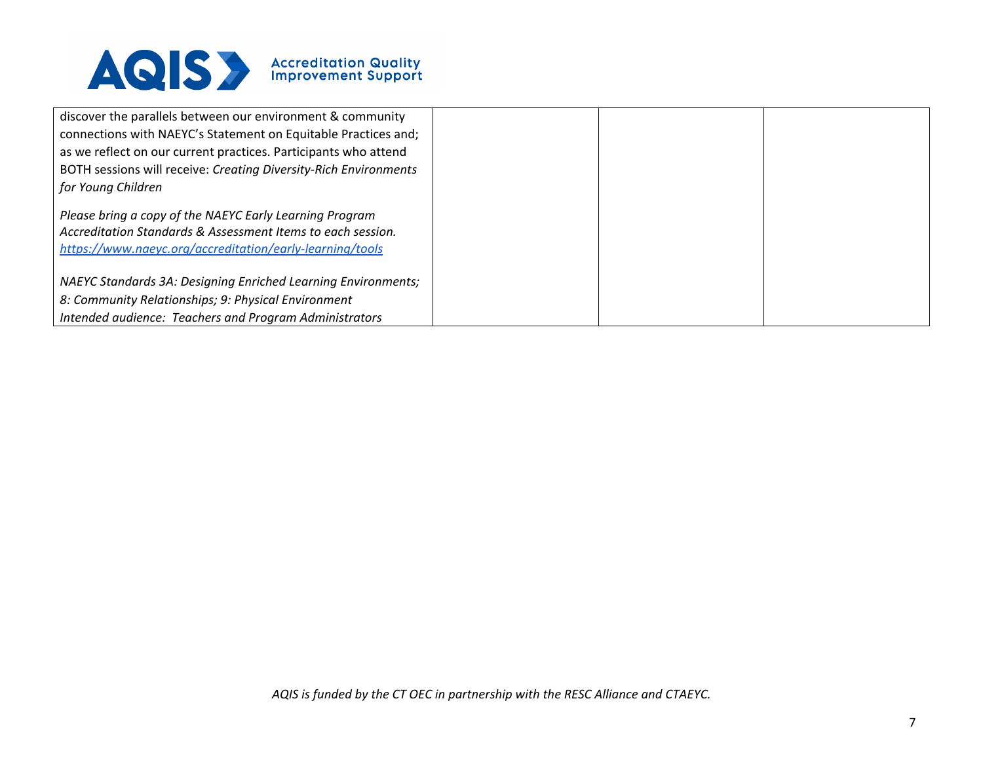

| discover the parallels between our environment & community<br>connections with NAEYC's Statement on Equitable Practices and;                                                       |  |  |
|------------------------------------------------------------------------------------------------------------------------------------------------------------------------------------|--|--|
| as we reflect on our current practices. Participants who attend                                                                                                                    |  |  |
| BOTH sessions will receive: Creating Diversity-Rich Environments                                                                                                                   |  |  |
| for Young Children                                                                                                                                                                 |  |  |
| Please bring a copy of the NAEYC Early Learning Program<br>Accreditation Standards & Assessment Items to each session.<br>https://www.naeyc.org/accreditation/early-learning/tools |  |  |
| NAEYC Standards 3A: Designing Enriched Learning Environments;<br>8: Community Relationships; 9: Physical Environment                                                               |  |  |
| Intended audience: Teachers and Program Administrators                                                                                                                             |  |  |
|                                                                                                                                                                                    |  |  |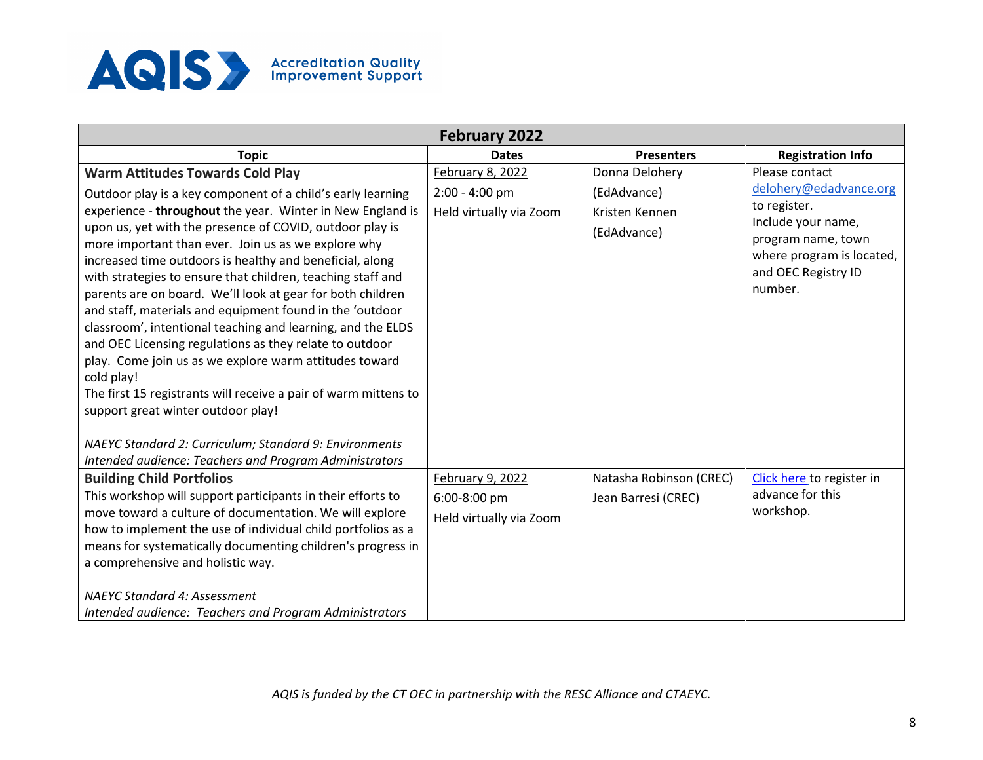

| <b>February 2022</b>                                                                                                                                                                                                                                                                                                                                                                                                                                                                                                                                                                                                                                                                                                                                                                                                                                                                                              |                                                                 |                                                                |                                                                                                                                                                     |
|-------------------------------------------------------------------------------------------------------------------------------------------------------------------------------------------------------------------------------------------------------------------------------------------------------------------------------------------------------------------------------------------------------------------------------------------------------------------------------------------------------------------------------------------------------------------------------------------------------------------------------------------------------------------------------------------------------------------------------------------------------------------------------------------------------------------------------------------------------------------------------------------------------------------|-----------------------------------------------------------------|----------------------------------------------------------------|---------------------------------------------------------------------------------------------------------------------------------------------------------------------|
| <b>Topic</b>                                                                                                                                                                                                                                                                                                                                                                                                                                                                                                                                                                                                                                                                                                                                                                                                                                                                                                      | <b>Dates</b>                                                    | <b>Presenters</b>                                              | <b>Registration Info</b>                                                                                                                                            |
| <b>Warm Attitudes Towards Cold Play</b><br>Outdoor play is a key component of a child's early learning<br>experience - throughout the year. Winter in New England is<br>upon us, yet with the presence of COVID, outdoor play is<br>more important than ever. Join us as we explore why<br>increased time outdoors is healthy and beneficial, along<br>with strategies to ensure that children, teaching staff and<br>parents are on board. We'll look at gear for both children<br>and staff, materials and equipment found in the 'outdoor<br>classroom', intentional teaching and learning, and the ELDS<br>and OEC Licensing regulations as they relate to outdoor<br>play. Come join us as we explore warm attitudes toward<br>cold play!<br>The first 15 registrants will receive a pair of warm mittens to<br>support great winter outdoor play!<br>NAEYC Standard 2: Curriculum; Standard 9: Environments | February 8, 2022<br>$2:00 - 4:00$ pm<br>Held virtually via Zoom | Donna Delohery<br>(EdAdvance)<br>Kristen Kennen<br>(EdAdvance) | Please contact<br>delohery@edadvance.org<br>to register.<br>Include your name,<br>program name, town<br>where program is located,<br>and OEC Registry ID<br>number. |
| Intended audience: Teachers and Program Administrators                                                                                                                                                                                                                                                                                                                                                                                                                                                                                                                                                                                                                                                                                                                                                                                                                                                            |                                                                 |                                                                |                                                                                                                                                                     |
| <b>Building Child Portfolios</b><br>This workshop will support participants in their efforts to<br>move toward a culture of documentation. We will explore<br>how to implement the use of individual child portfolios as a<br>means for systematically documenting children's progress in<br>a comprehensive and holistic way.<br><b>NAEYC Standard 4: Assessment</b><br>Intended audience: Teachers and Program Administrators                                                                                                                                                                                                                                                                                                                                                                                                                                                                                   | February 9, 2022<br>6:00-8:00 pm<br>Held virtually via Zoom     | Natasha Robinson (CREC)<br>Jean Barresi (CREC)                 | Click here to register in<br>advance for this<br>workshop.                                                                                                          |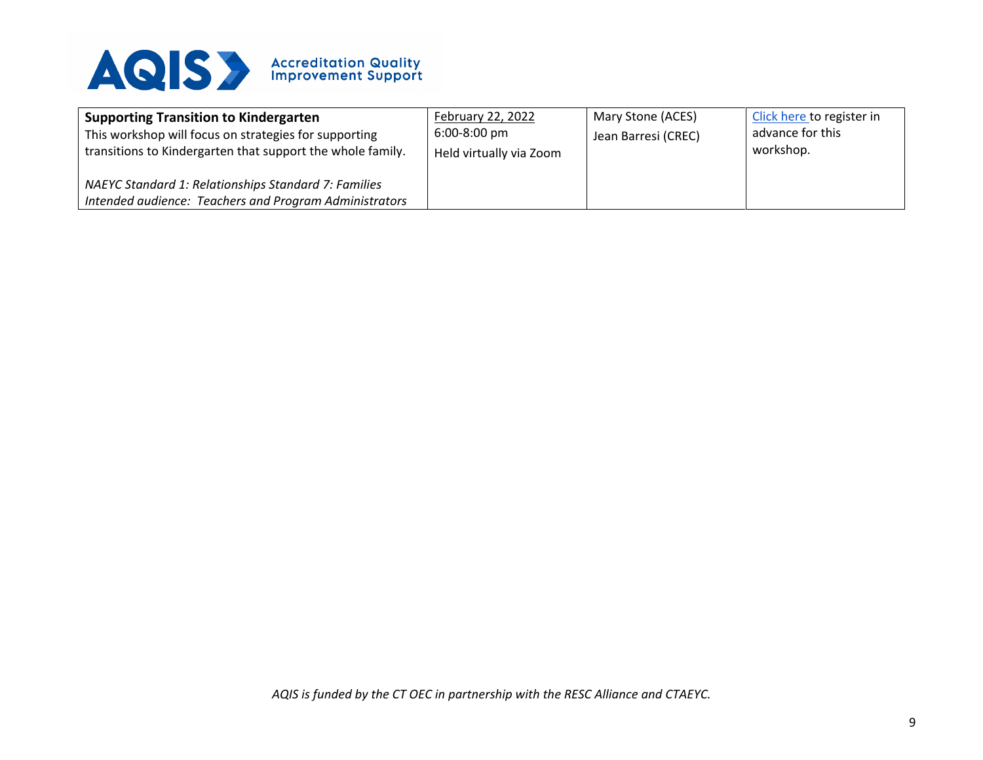

| <b>Supporting Transition to Kindergarten</b><br>This workshop will focus on strategies for supporting<br>transitions to Kindergarten that support the whole family. | February 22, 2022<br>6:00-8:00 pm<br>Held virtually via Zoom | Mary Stone (ACES)<br>Jean Barresi (CREC) | Click here to register in<br>advance for this<br>workshop. |
|---------------------------------------------------------------------------------------------------------------------------------------------------------------------|--------------------------------------------------------------|------------------------------------------|------------------------------------------------------------|
| NAEYC Standard 1: Relationships Standard 7: Families<br>Intended audience: Teachers and Program Administrators                                                      |                                                              |                                          |                                                            |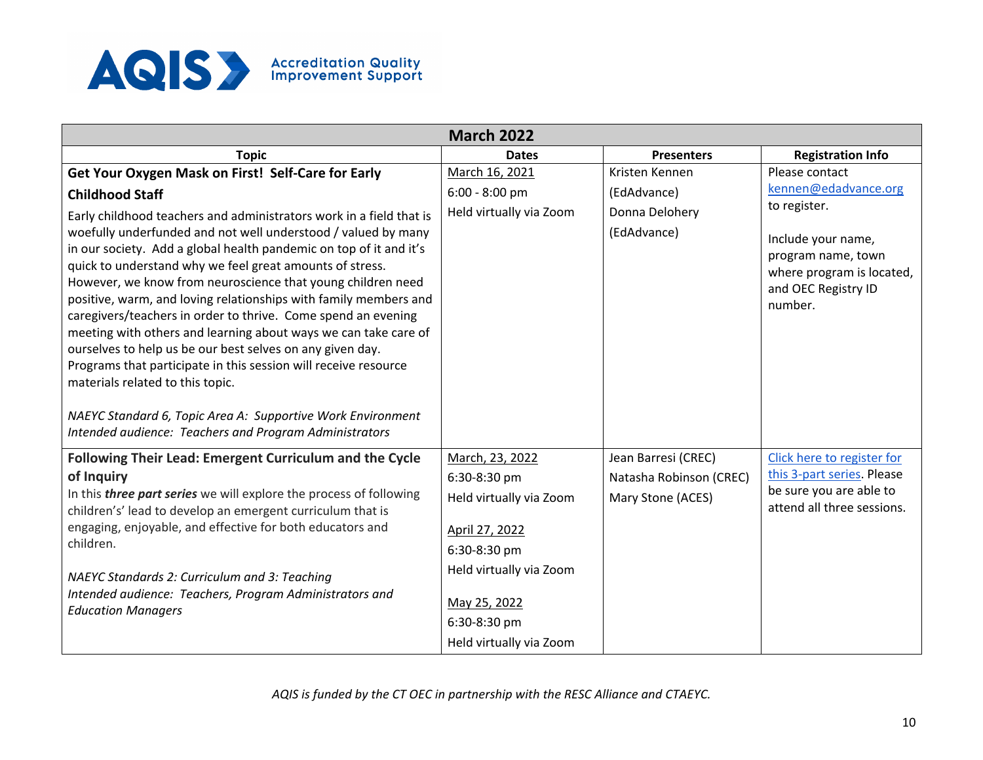

|                                                                                                                                         | <b>March 2022</b>       |                               |                                                       |
|-----------------------------------------------------------------------------------------------------------------------------------------|-------------------------|-------------------------------|-------------------------------------------------------|
| <b>Topic</b>                                                                                                                            | <b>Dates</b>            | <b>Presenters</b>             | <b>Registration Info</b>                              |
| Get Your Oxygen Mask on First! Self-Care for Early                                                                                      | March 16, 2021          | Kristen Kennen                | Please contact                                        |
| <b>Childhood Staff</b>                                                                                                                  | $6:00 - 8:00$ pm        | (EdAdvance)                   | kennen@edadvance.org                                  |
| Early childhood teachers and administrators work in a field that is<br>woefully underfunded and not well understood / valued by many    | Held virtually via Zoom | Donna Delohery<br>(EdAdvance) | to register.                                          |
| in our society. Add a global health pandemic on top of it and it's                                                                      |                         |                               | Include your name,<br>program name, town              |
| quick to understand why we feel great amounts of stress.                                                                                |                         |                               | where program is located,                             |
| However, we know from neuroscience that young children need<br>positive, warm, and loving relationships with family members and         |                         |                               | and OEC Registry ID                                   |
| caregivers/teachers in order to thrive. Come spend an evening                                                                           |                         |                               | number.                                               |
| meeting with others and learning about ways we can take care of                                                                         |                         |                               |                                                       |
| ourselves to help us be our best selves on any given day.                                                                               |                         |                               |                                                       |
| Programs that participate in this session will receive resource<br>materials related to this topic.                                     |                         |                               |                                                       |
|                                                                                                                                         |                         |                               |                                                       |
| NAEYC Standard 6, Topic Area A: Supportive Work Environment                                                                             |                         |                               |                                                       |
| Intended audience: Teachers and Program Administrators                                                                                  |                         |                               |                                                       |
| <b>Following Their Lead: Emergent Curriculum and the Cycle</b>                                                                          | March, 23, 2022         | Jean Barresi (CREC)           | Click here to register for                            |
| of Inquiry                                                                                                                              | 6:30-8:30 pm            | Natasha Robinson (CREC)       | this 3-part series. Please                            |
| In this <i>three part series</i> we will explore the process of following<br>children's' lead to develop an emergent curriculum that is | Held virtually via Zoom | Mary Stone (ACES)             | be sure you are able to<br>attend all three sessions. |
| engaging, enjoyable, and effective for both educators and                                                                               | April 27, 2022          |                               |                                                       |
| children.                                                                                                                               | 6:30-8:30 pm            |                               |                                                       |
| NAEYC Standards 2: Curriculum and 3: Teaching                                                                                           | Held virtually via Zoom |                               |                                                       |
| Intended audience: Teachers, Program Administrators and<br><b>Education Managers</b>                                                    | May 25, 2022            |                               |                                                       |
|                                                                                                                                         | 6:30-8:30 pm            |                               |                                                       |
|                                                                                                                                         | Held virtually via Zoom |                               |                                                       |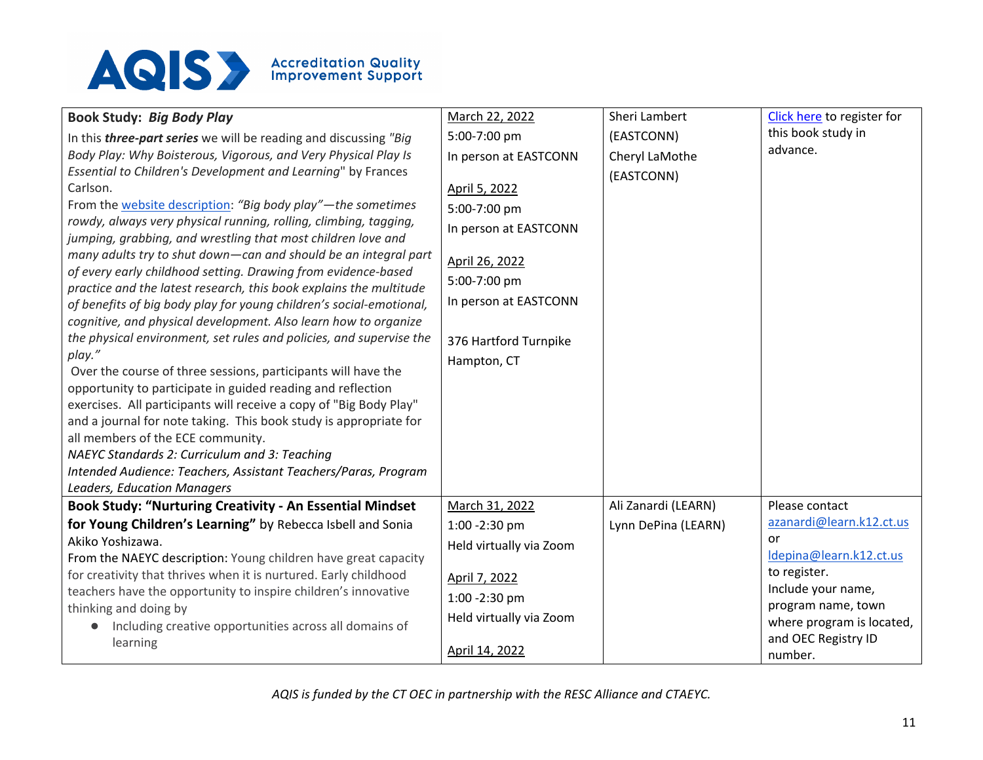

|                                                                                                                                  |                         | Sheri Lambert       | Click here to register for |
|----------------------------------------------------------------------------------------------------------------------------------|-------------------------|---------------------|----------------------------|
| <b>Book Study: Big Body Play</b>                                                                                                 | March 22, 2022          |                     | this book study in         |
| In this <i>three-part series</i> we will be reading and discussing "Big                                                          | 5:00-7:00 pm            | (EASTCONN)          | advance.                   |
| Body Play: Why Boisterous, Vigorous, and Very Physical Play Is                                                                   | In person at EASTCONN   | Cheryl LaMothe      |                            |
| Essential to Children's Development and Learning" by Frances                                                                     |                         | (EASTCONN)          |                            |
| Carlson.                                                                                                                         | April 5, 2022           |                     |                            |
| From the website description: "Big body play"-the sometimes                                                                      | 5:00-7:00 pm            |                     |                            |
| rowdy, always very physical running, rolling, climbing, tagging,<br>jumping, grabbing, and wrestling that most children love and | In person at EASTCONN   |                     |                            |
| many adults try to shut down-can and should be an integral part                                                                  | April 26, 2022          |                     |                            |
| of every early childhood setting. Drawing from evidence-based                                                                    | 5:00-7:00 pm            |                     |                            |
| practice and the latest research, this book explains the multitude                                                               |                         |                     |                            |
| of benefits of big body play for young children's social-emotional,                                                              | In person at EASTCONN   |                     |                            |
| cognitive, and physical development. Also learn how to organize                                                                  |                         |                     |                            |
| the physical environment, set rules and policies, and supervise the                                                              | 376 Hartford Turnpike   |                     |                            |
| play."                                                                                                                           | Hampton, CT             |                     |                            |
| Over the course of three sessions, participants will have the                                                                    |                         |                     |                            |
| opportunity to participate in guided reading and reflection                                                                      |                         |                     |                            |
| exercises. All participants will receive a copy of "Big Body Play"                                                               |                         |                     |                            |
| and a journal for note taking. This book study is appropriate for                                                                |                         |                     |                            |
| all members of the ECE community.                                                                                                |                         |                     |                            |
| NAEYC Standards 2: Curriculum and 3: Teaching                                                                                    |                         |                     |                            |
| Intended Audience: Teachers, Assistant Teachers/Paras, Program                                                                   |                         |                     |                            |
| <b>Leaders, Education Managers</b>                                                                                               |                         |                     |                            |
| <b>Book Study: "Nurturing Creativity - An Essential Mindset</b>                                                                  | March 31, 2022          | Ali Zanardi (LEARN) | Please contact             |
| for Young Children's Learning" by Rebecca Isbell and Sonia                                                                       | 1:00 - 2:30 pm          | Lynn DePina (LEARN) | azanardi@learn.k12.ct.us   |
| Akiko Yoshizawa.                                                                                                                 | Held virtually via Zoom |                     | or                         |
| From the NAEYC description: Young children have great capacity                                                                   |                         |                     | Idepina@learn.k12.ct.us    |
| for creativity that thrives when it is nurtured. Early childhood                                                                 | April 7, 2022           |                     | to register.               |
| teachers have the opportunity to inspire children's innovative                                                                   | 1:00 -2:30 pm           |                     | Include your name,         |
| thinking and doing by                                                                                                            | Held virtually via Zoom |                     | program name, town         |
| Including creative opportunities across all domains of<br>$\bullet$                                                              |                         |                     | where program is located,  |
| learning                                                                                                                         | April 14, 2022          |                     | and OEC Registry ID        |
|                                                                                                                                  |                         |                     | number.                    |